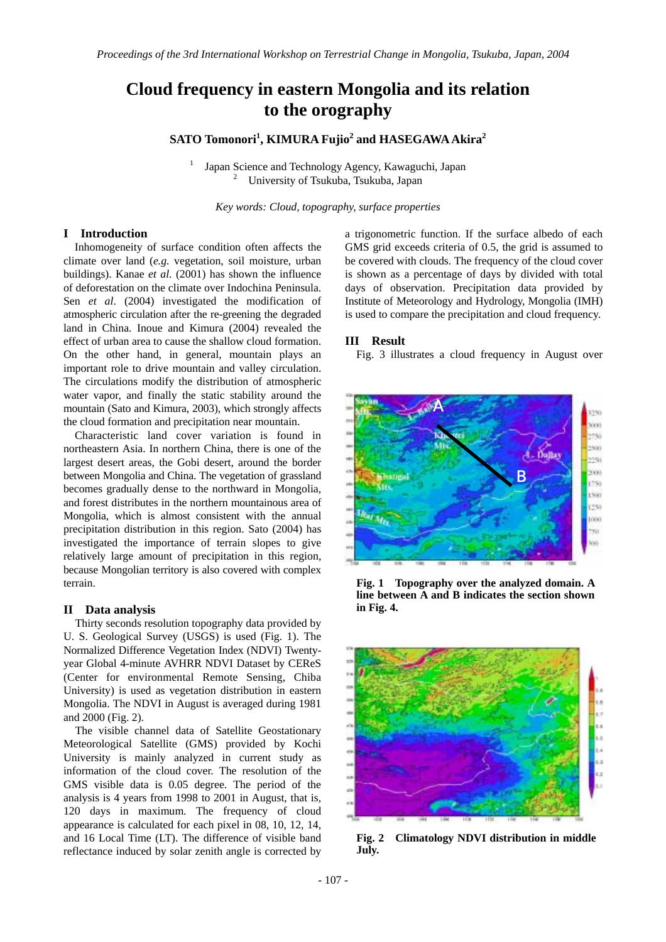# **Cloud frequency in eastern Mongolia and its relation to the orography**

**SATO Tomonori<sup>1</sup> , KIMURA Fujio<sup>2</sup> and HASEGAWA Akira<sup>2</sup>**

1 Japan Science and Technology Agency, Kawaguchi, Japan 2 University of Tsukuba, Tsukuba, Japan

*Key words: Cloud, topography, surface properties* 

## **I Introduction**

Inhomogeneity of surface condition often affects the climate over land (*e.g.* vegetation, soil moisture, urban buildings). Kanae *et al*. (2001) has shown the influence of deforestation on the climate over Indochina Peninsula. Sen *et al*. (2004) investigated the modification of atmospheric circulation after the re-greening the degraded land in China. Inoue and Kimura (2004) revealed the effect of urban area to cause the shallow cloud formation. On the other hand, in general, mountain plays an important role to drive mountain and valley circulation. The circulations modify the distribution of atmospheric water vapor, and finally the static stability around the mountain (Sato and Kimura, 2003), which strongly affects the cloud formation and precipitation near mountain.

Characteristic land cover variation is found in northeastern Asia. In northern China, there is one of the largest desert areas, the Gobi desert, around the border between Mongolia and China. The vegetation of grassland becomes gradually dense to the northward in Mongolia, and forest distributes in the northern mountainous area of Mongolia, which is almost consistent with the annual precipitation distribution in this region. Sato (2004) has investigated the importance of terrain slopes to give relatively large amount of precipitation in this region, because Mongolian territory is also covered with complex terrain.

### **II Data analysis**

Thirty seconds resolution topography data provided by U. S. Geological Survey (USGS) is used (Fig. 1). The Normalized Difference Vegetation Index (NDVI) Twentyyear Global 4-minute AVHRR NDVI Dataset by CEReS (Center for environmental Remote Sensing, Chiba University) is used as vegetation distribution in eastern Mongolia. The NDVI in August is averaged during 1981 and 2000 (Fig. 2).

The visible channel data of Satellite Geostationary Meteorological Satellite (GMS) provided by Kochi University is mainly analyzed in current study as information of the cloud cover. The resolution of the GMS visible data is 0.05 degree. The period of the analysis is 4 years from 1998 to 2001 in August, that is, 120 days in maximum. The frequency of cloud appearance is calculated for each pixel in 08, 10, 12, 14, and 16 Local Time (LT). The difference of visible band reflectance induced by solar zenith angle is corrected by

a trigonometric function. If the surface albedo of each GMS grid exceeds criteria of 0.5, the grid is assumed to be covered with clouds. The frequency of the cloud cover is shown as a percentage of days by divided with total days of observation. Precipitation data provided by Institute of Meteorology and Hydrology, Mongolia (IMH) is used to compare the precipitation and cloud frequency.

### **III Result**

Fig. 3 illustrates a cloud frequency in August over



**Fig. 1 Topography over the analyzed domain. A line between A and B indicates the section shown in Fig. 4.** 



**Fig. 2 Climatology NDVI distribution in middle July.**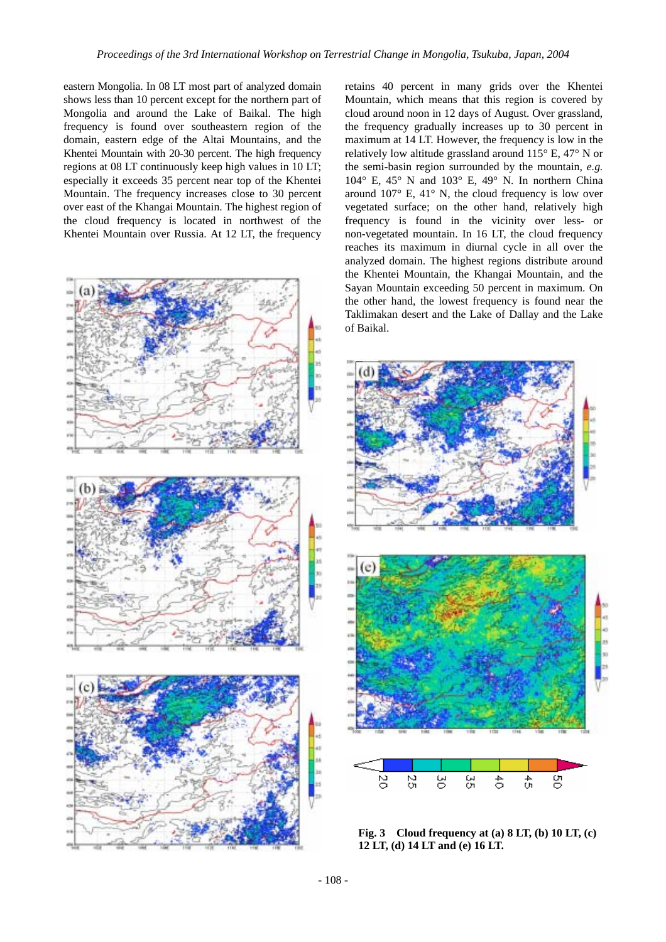eastern Mongolia. In 08 LT most part of analyzed domain shows less than 10 percent except for the northern part of Mongolia and around the Lake of Baikal. The high frequency is found over southeastern region of the domain, eastern edge of the Altai Mountains, and the Khentei Mountain with 20-30 percent. The high frequency regions at 08 LT continuously keep high values in 10 LT; especially it exceeds 35 percent near top of the Khentei Mountain. The frequency increases close to 30 percent over east of the Khangai Mountain. The highest region of the cloud frequency is located in northwest of the Khentei Mountain over Russia. At 12 LT, the frequency



retains 40 percent in many grids over the Khentei Mountain, which means that this region is covered by cloud around noon in 12 days of August. Over grassland, the frequency gradually increases up to 30 percent in maximum at 14 LT. However, the frequency is low in the relatively low altitude grassland around 115° E, 47° N or the semi-basin region surrounded by the mountain, *e.g.* 104° E, 45° N and 103° E, 49° N. In northern China around  $107^{\circ}$  E,  $41^{\circ}$  N, the cloud frequency is low over vegetated surface; on the other hand, relatively high frequency is found in the vicinity over less- or non-vegetated mountain. In 16 LT, the cloud frequency reaches its maximum in diurnal cycle in all over the analyzed domain. The highest regions distribute around the Khentei Mountain, the Khangai Mountain, and the Sayan Mountain exceeding 50 percent in maximum. On the other hand, the lowest frequency is found near the Taklimakan desert and the Lake of Dallay and the Lake of Baikal.



**Fig. 3 Cloud frequency at (a) 8 LT, (b) 10 LT, (c) 12 LT, (d) 14 LT and (e) 16 LT.**